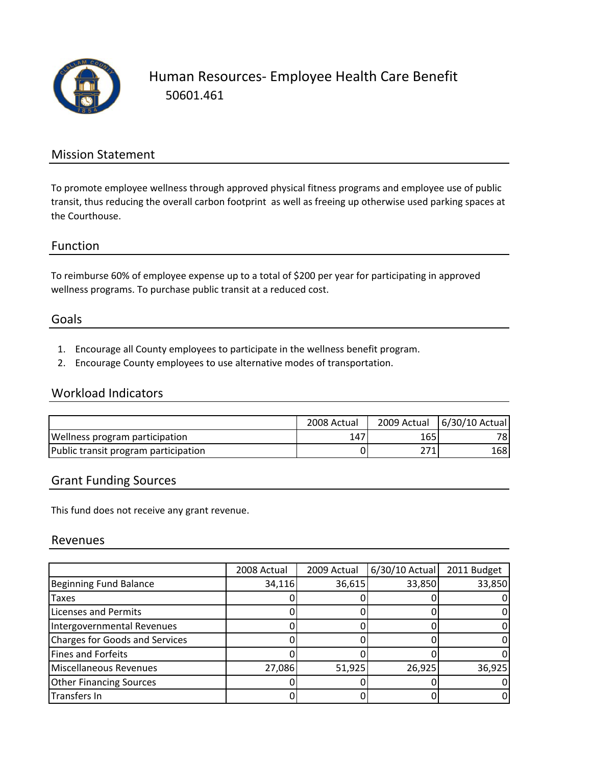

Human Resources‐ Employee Health Care Benefit 50601.461

### Mission Statement

To promote employee wellness through approved physical fitness programs and employee use of public transit, thus reducing the overall carbon footprint as well as freeing up otherwise used parking spaces at the Courthouse.

#### Function

To reimburse 60% of employee expense up to a total of \$200 per year for participating in approved wellness programs. To purchase public transit at a reduced cost.

#### Goals

- 1. Encourage all County employees to participate in the wellness benefit program.
- 2. Encourage County employees to use alternative modes of transportation.

## Workload Indicators

|                                      | 2008 Actual | 2009 Actual | 6/30/10 Actual |
|--------------------------------------|-------------|-------------|----------------|
| Wellness program participation       | 147         | 165         | 78I            |
| Public transit program participation |             | 271         | 168 I          |

### Grant Funding Sources

This fund does not receive any grant revenue.

#### Revenues

|                                | 2008 Actual | 2009 Actual | 6/30/10 Actual | 2011 Budget |
|--------------------------------|-------------|-------------|----------------|-------------|
| Beginning Fund Balance         | 34,116      | 36,615      | 33,850         | 33,850      |
| <b>Taxes</b>                   |             |             |                |             |
| <b>Licenses and Permits</b>    |             |             |                |             |
| Intergovernmental Revenues     |             |             |                |             |
| Charges for Goods and Services |             |             |                |             |
| Fines and Forfeits             |             |             |                |             |
| Miscellaneous Revenues         | 27,086      | 51,925      | 26,925         | 36,925      |
| <b>Other Financing Sources</b> |             |             |                |             |
| Transfers In                   |             |             |                |             |